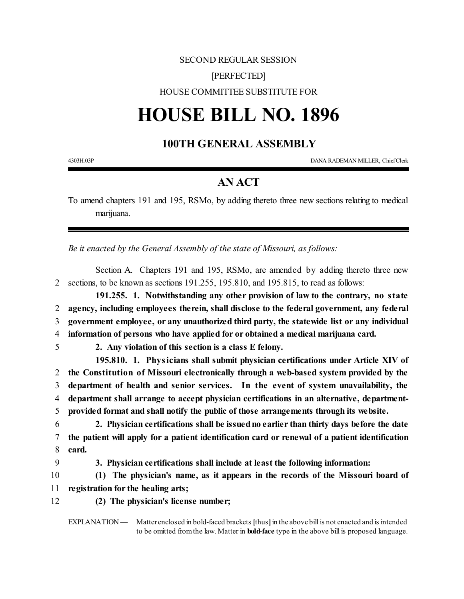## SECOND REGULAR SESSION [PERFECTED] HOUSE COMMITTEE SUBSTITUTE FOR

## **HOUSE BILL NO. 1896**

## **100TH GENERAL ASSEMBLY**

4303H.03P DANA RADEMAN MILLER, ChiefClerk

## **AN ACT**

To amend chapters 191 and 195, RSMo, by adding thereto three new sections relating to medical marijuana.

*Be it enacted by the General Assembly of the state of Missouri, as follows:*

Section A. Chapters 191 and 195, RSMo, are amended by adding thereto three new 2 sections, to be known as sections 191.255, 195.810, and 195.815, to read as follows:

**191.255. 1. Notwithstanding any other provision of law to the contrary, no state agency, including employees therein, shall disclose to the federal government, any federal government employee, or any unauthorized third party, the statewide list or any individual information of persons who have applied for or obtained a medical marijuana card.**

5 **2. Any violation of this section is a class E felony.**

**195.810. 1. Physicians shall submit physician certifications under Article XIV of the Constitution of Missouri electronically through a web-based system provided by the department of health and senior services. In the event of system unavailability, the department shall arrange to accept physician certifications in an alternative, department-provided format and shall notify the public of those arrangements through its website.**

6 **2. Physician certifications shall be issuedno earlier than thirty days before the date** 7 **the patient will apply for a patient identification card or renewal of a patient identification** 8 **card.**

9 **3. Physician certifications shall include at least the following information:**

10 **(1) The physician's name, as it appears in the records of the Missouri board of** 11 **registration for the healing arts;**

- 
- 12 **(2) The physician's license number;**

EXPLANATION — Matter enclosed in bold-faced brackets [thus] in the above bill is not enacted and is intended to be omitted fromthe law. Matter in **bold-face** type in the above bill is proposed language.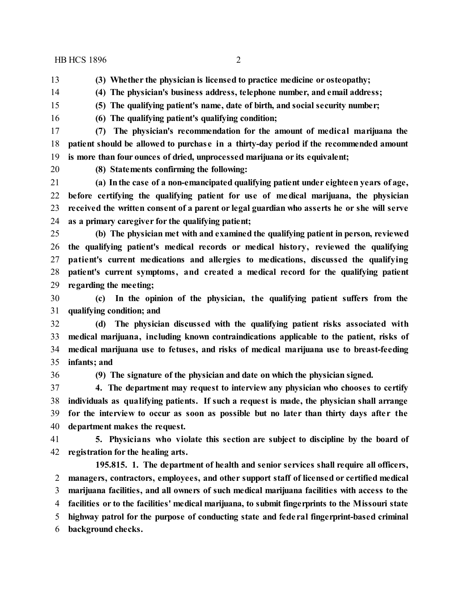HB HCS 1896 2

- **(3) Whether the physician is licensed to practice medicine or osteopathy;**
- **(4) The physician's business address, telephone number, and email address;**
- **(5) The qualifying patient's name, date of birth, and social security number;**
- **(6) The qualifying patient's qualifying condition;**
- **(7) The physician's recommendation for the amount of medical marijuana the patient should be allowed to purchase in a thirty-day period if the recommended amount is more than four ounces of dried, unprocessed marijuana or its equivalent;**
- 
- **(8) Statements confirming the following:**

 **(a) Inthe case of a non-emancipated qualifying patient under eighteen years of age, before certifying the qualifying patient for use of medical marijuana, the physician received the written consent of a parent or legal guardian who asserts he or she will serve as a primary caregiver for the qualifying patient;**

 **(b) The physician met with and examined the qualifying patient in person, reviewed the qualifying patient's medical records or medical history, reviewed the qualifying patient's current medications and allergies to medications, discussed the qualifying patient's current symptoms, and created a medical record for the qualifying patient regarding the meeting;**

 **(c) In the opinion of the physician, the qualifying patient suffers from the qualifying condition; and**

 **(d) The physician discussed with the qualifying patient risks associated with medical marijuana, including known contraindications applicable to the patient, risks of medical marijuana use to fetuses, and risks of medical marijuana use to breast-feeding infants; and**

**(9) The signature of the physician and date on which the physician signed.**

 **4. The department may request to interview any physician who chooses to certify individuals as qualifying patients. If such a request is made, the physician shall arrange for the interview to occur as soon as possible but no later than thirty days afte r the department makes the request.**

 **5. Physicians who violate this section are subject to discipline by the board of registration for the healing arts.**

**195.815. 1. The department of health and senior services shall require all officers, managers, contractors, employees, and other support staff of licensed or certified medical marijuana facilities, and all owners of such medical marijuana facilities with access to the facilities or to the facilities' medical marijuana, to submit fingerprints to the Missouri state highway patrol for the purpose of conducting state and fede ral fingerprint-based criminal background checks.**